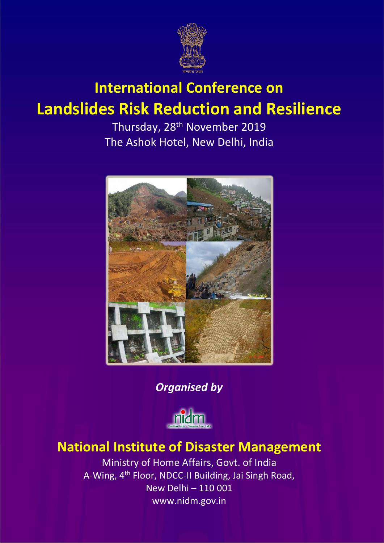

# **International Conference on Landslides Risk Reduction and Resilience**

Thursday, 28<sup>th</sup> November 2019 The Ashok Hotel, New Delhi, India



*Organised by*



## **National Institute of Disaster Management**

Ministry of Home Affairs, Govt. of India A-Wing, 4th Floor, NDCC-II Building, Jai Singh Road, New Delhi – 110 001 www.nidm.gov.in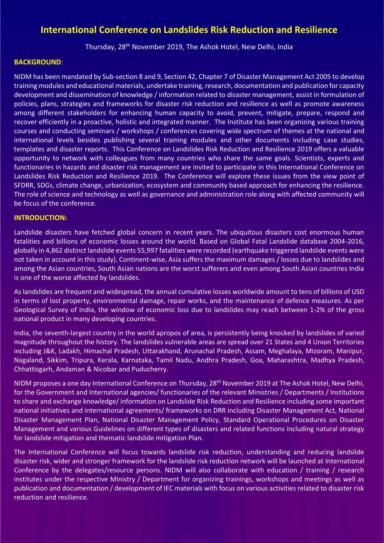### **International Conference on Landslides Risk Reduction and Resilience**

Thursday, 28th November 2019, The Ashok Hotel, New Delhi, India

#### **BACKGROUND**:

NIDM has been mandated by Sub-section 8 and 9, Section 42, Chapter 7 of Disaster Management Act 2005 to develop training modules and educational materials, undertake training, research, documentation and publication for capacity development and dissemination of knowledge / information related to disaster management, assist in formulation of policies, plans, strategies and frameworks for disaster risk reduction and resilience as well as promote awareness among different stakeholders for enhancing human capacity to avoid, prevent, mitigate, prepare, respond and recover efficiently in a proactive, holistic and integrated manner. The Institute has been organizing various training courses and conducting seminars / workshops / conferences covering wide spectrum of themes at the national and international levels besides publishing several training modules and other documents including case studies, templates and disaster reports. This Conference on Landslides Risk Reduction and Resilience 2019 offers a valuable opportunity to network with colleagues from many countries who share the same goals. Scientists, experts and functionaries in hazards and disaster risk management are invited to participate in this International Conference on Landslides Risk Reduction and Resilience 2019. The Conference will explore these issues from the view point of SFDRR, SDGs, climate change, urbanization, ecosystem and community based approach for enhancing the resilience. The role of science and technology as well as governance and administration role along with affected community will be focus of the conference.

#### **INTRODUCTION:**

Landslide disasters have fetched global concern in recent years. The ubiquitous disasters cost enormous human fatalities and billions of economic losses around the world. Based on Global Fatal Landslide database 2004-2016, globally in 4,862 distinct landslide events 55,997 fatalities were recorded (earthquake triggered landslide events were not taken in account in this study). Continent-wise, Asia suffers the maximum damages / losses due to landslides and among the Asian countries, South Asian nations are the worst sufferers and even among South Asian countries India is one of the worse affected by landslides.

As landslides are frequent and widespread, the annual cumulative losses worldwide amount to tens of billions of USD in terms of lost property, environmental damage, repair works, and the maintenance of defence measures. As per Geological Survey of India, the window of economic loss due to landslides may reach between 1-2% of the gross national product in many developing countries.

India, the seventh-largest country in the world apropos of area, is persistently being knocked by landslides of varied magnitude throughout the history. The landslides vulnerable areas are spread over 21 States and 4 Union Territories including J&K, Ladakh, Himachal Pradesh, Uttarakhand, Arunachal Pradesh, Assam, Meghalaya, Mizoram, Manipur, Nagaland, Sikkim, Tripura, Kerala, Karnataka, Tamil Nadu, Andhra Pradesh, Goa, Maharashtra, Madhya Pradesh, Chhattisgarh, Andaman & Nicobar and Puducherry.

NIDM proposes a one day International Conference on Thursday, 28<sup>th</sup> November 2019 at The Ashok Hotel, New Delhi, for the Government and International agencies/ functionaries of the relevant Ministries / Departments / Institutions to share and exchange knowledge/ information on Landslide Risk Reduction and Resilience including some important national initiatives and international agreements/ frameworks on DRR including Disaster Management Act, National Disaster Management Plan, National Disaster Management Policy, Standard Operational Procedures on Disaster Management and various Guidelines on different types of disasters and related functions including natural strategy for landslide mitigation and thematic landslide mitigation Plan.

The International Conference will focus towards landslide risk reduction, understanding and reducing landslide disaster risk, wider and stronger framework for the landslide risk reduction network will be launched at International Conference by the delegates/resource persons. NIDM will also collaborate with education / training / research institutes under the respective Ministry / Department for organizing trainings, workshops and meetings as well as publication and documentation / development of IEC materials with focus on various activities related to disaster risk reduction and resilience.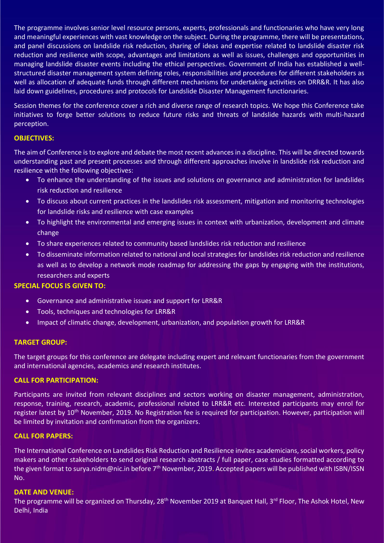The programme involves senior level resource persons, experts, professionals and functionaries who have very long and meaningful experiences with vast knowledge on the subject. During the programme, there will be presentations, and panel discussions on landslide risk reduction, sharing of ideas and expertise related to landslide disaster risk reduction and resilience with scope, advantages and limitations as well as issues, challenges and opportunities in managing landslide disaster events including the ethical perspectives. Government of India has established a wellstructured disaster management system defining roles, responsibilities and procedures for different stakeholders as well as allocation of adequate funds through different mechanisms for undertaking activities on DRR&R. It has also laid down guidelines, procedures and protocols for Landslide Disaster Management functionaries.

Session themes for the conference cover a rich and diverse range of research topics. We hope this Conference take initiatives to forge better solutions to reduce future risks and threats of landslide hazards with multi-hazard perception.

#### **OBJECTIVES:**

The aim of Conference is to explore and debate the most recent advances in a discipline. This will be directed towards understanding past and present processes and through different approaches involve in landslide risk reduction and resilience with the following objectives:

- To enhance the understanding of the issues and solutions on governance and administration for landslides risk reduction and resilience
- To discuss about current practices in the landslides risk assessment, mitigation and monitoring technologies for landslide risks and resilience with case examples
- To highlight the environmental and emerging issues in context with urbanization, development and climate change
- To share experiences related to community based landslides risk reduction and resilience
- To disseminate information related to national and local strategies for landslides risk reduction and resilience as well as to develop a network mode roadmap for addressing the gaps by engaging with the institutions, researchers and experts

#### **SPECIAL FOCUS IS GIVEN TO:**

- Governance and administrative issues and support for LRR&R
- Tools, techniques and technologies for LRR&R
- Impact of climatic change, development, urbanization, and population growth for LRR&R

#### **TARGET GROUP:**

The target groups for this conference are delegate including expert and relevant functionaries from the government and international agencies, academics and research institutes.

#### **CALL FOR PARTICIPATION:**

Participants are invited from relevant disciplines and sectors working on disaster management, administration, response, training, research, academic, professional related to LRR&R etc. Interested participants may enrol for register latest by 10<sup>th</sup> November, 2019. No Registration fee is required for participation. However, participation will be limited by invitation and confirmation from the organizers.

#### **CALL FOR PAPERS:**

The International Conference on Landslides Risk Reduction and Resilience invites academicians, social workers, policy makers and other stakeholders to send original research abstracts / full paper, case studies formatted according to the given format to surya.nidm@nic.in before 7<sup>th</sup> November, 2019. Accepted papers will be published with ISBN/ISSN No.

#### **DATE AND VENUE:**

The programme will be organized on Thursday, 28<sup>th</sup> November 2019 at Banquet Hall, 3<sup>rd</sup> Floor, The Ashok Hotel, New Delhi, India